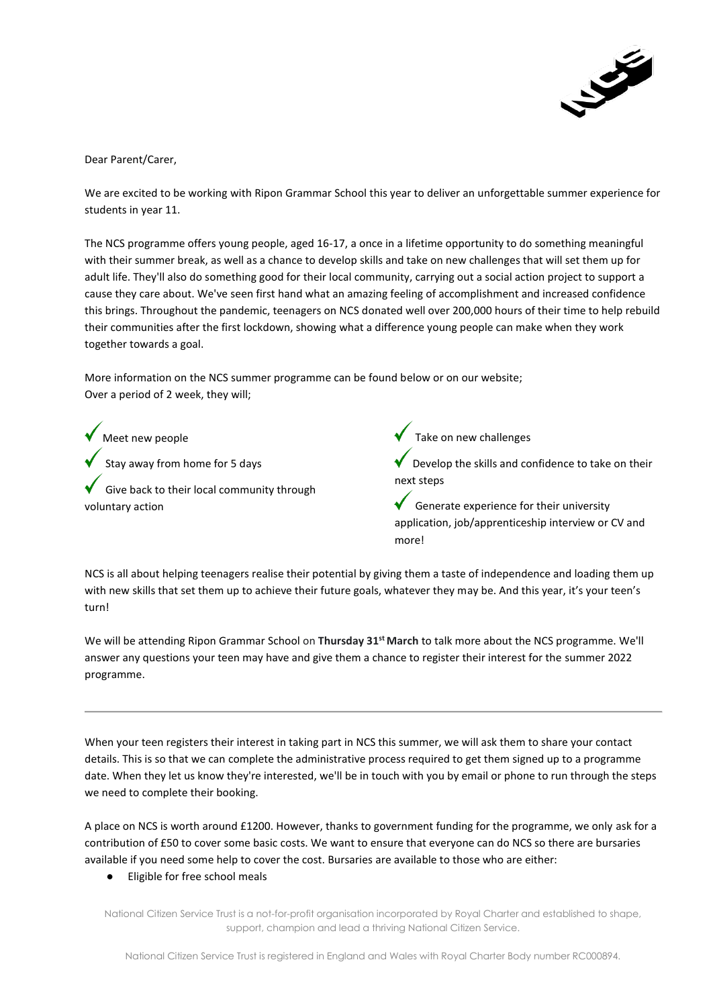

Dear Parent/Carer,

We are excited to be working with Ripon Grammar School this year to deliver an unforgettable summer experience for students in year 11.

The NCS programme offers young people, aged 16-17, a once in a lifetime opportunity to do something meaningful with their summer break, as well as a chance to develop skills and take on new challenges that will set them up for adult life. They'll also do something good for their local community, carrying out a social action project to support a cause they care about. We've seen first hand what an amazing feeling of accomplishment and increased confidence this brings. Throughout the pandemic, teenagers on NCS donated well over 200,000 hours of their time to help rebuild their communities after the first lockdown, showing what a difference young people can make when they work together towards a goal.

More information on the NCS summer programme can be found below or on our website; Over a period of 2 week, they will;

Meet new people Stay away from home for 5 days Give back to their local community through voluntary action

Take on new challenges

Develop the skills and confidence to take on their next steps

Generate experience for their university application, job/apprenticeship interview or CV and more!

NCS is all about helping teenagers realise their potential by giving them a taste of independence and loading them up with new skills that set them up to achieve their future goals, whatever they may be. And this year, it's your teen's turn!

We will be attending Ripon Grammar School on **Thursday 31st March** to talk more about the NCS programme. We'll answer any questions your teen may have and give them a chance to register their interest for the summer 2022 programme.

When your teen registers their interest in taking part in NCS this summer, we will ask them to share your contact details. This is so that we can complete the administrative process required to get them signed up to a programme date. When they let us know they're interested, we'll be in touch with you by email or phone to run through the steps we need to complete their booking.

A place on NCS is worth around £1200. However, thanks to government funding for the programme, we only ask for a contribution of £50 to cover some basic costs. We want to ensure that everyone can do NCS so there are bursaries available if you need some help to cover the cost. Bursaries are available to those who are either:

● Eligible for free school meals

National Citizen Service Trust is a not-for-profit organisation incorporated by Royal Charter and established to shape, support, champion and lead a thriving National Citizen Service.

National Citizen Service Trust is registered in England and Wales with Royal Charter Body number RC000894.